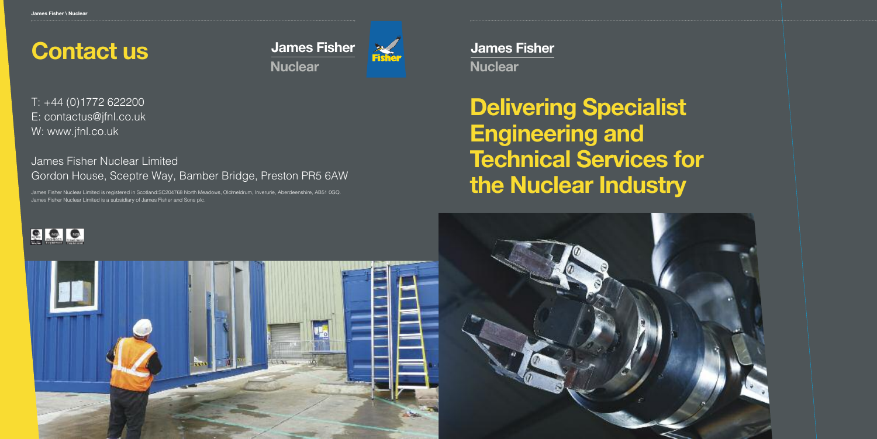**James Fisher Nuclear**

# **Delivering Specialist Engineering and Technical Services for the Nuclear Industry**



# **Contact us**

T: +44 (0)1772 622200 E: contactus@jfnl.co.uk W: www.jfnl.co.uk

### James Fisher Nuclear Limited Gordon House, Sceptre Way, Bamber Bridge, Preston PR5 6AW

James Fisher Nuclear Limited is registered in Scotland:SC204768 North Meadows, Oldmeldrum, Inverurie, Aberdeenshire, AB51 0GQ. James Fisher Nuclear Limited is a subsidiary of James Fisher and Sons plc.





**James Fisher Nuclear**

![](_page_0_Picture_3.jpeg)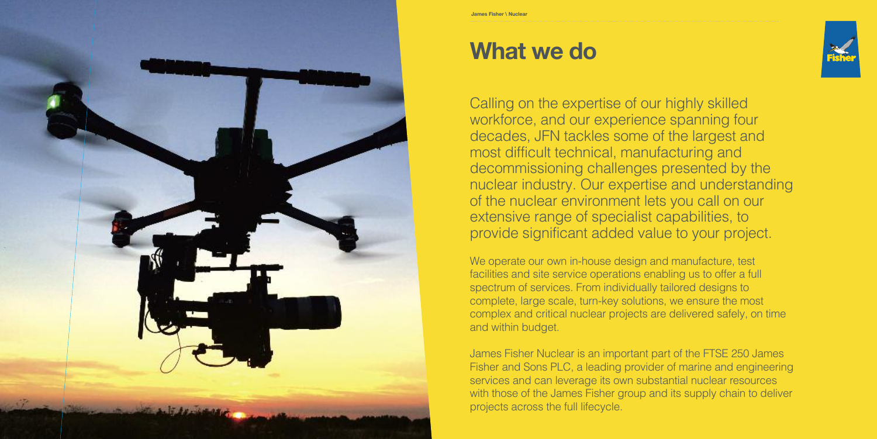![](_page_1_Picture_0.jpeg)

## **What we do**

Calling on the expertise of our highly skilled workforce, and our experience spanning four decades, JFN tackles some of the largest and most difficult technical, manufacturing and decommissioning challenges presented by the nuclear industry. Our expertise and understanding of the nuclear environment lets you call on our extensive range of specialist capabilities, to provide significant added value to your project.

We operate our own in-house design and manufacture, test facilities and site service operations enabling us to offer a full spectrum of services. From individually tailored designs to complete, large scale, turn-key solutions, we ensure the most complex and critical nuclear projects are delivered safely, on time and within budget.

James Fisher Nuclear is an important part of the FTSE 250 James Fisher and Sons PLC, a leading provider of marine and engineering services and can leverage its own substantial nuclear resources with those of the James Fisher group and its supply chain to deliver projects across the full lifecycle.

![](_page_1_Picture_6.jpeg)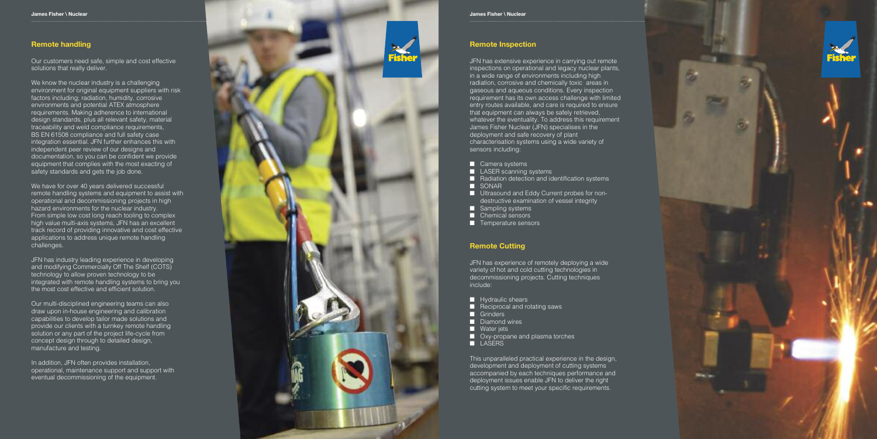#### **Remote handling**

Our customers need safe, simple and cost effective solutions that really deliver.

We know the nuclear industry is a challenging environment for original equipment suppliers with risk factors including; radiation, humidity, corrosive environments and potential ATEX atmosphere requirements. Making adherence to international design standards, plus all relevant safety, material traceability and weld compliance requirements, BS EN 61508 compliance and full safety case integration essential. JFN further enhances this with independent peer review of our designs and documentation, so you can be confident we provide equipment that complies with the most exacting of safety standards and gets the job done.

We have for over 40 years delivered successful remote handling systems and equipment to assist with operational and decommissioning projects in high hazard environments for the nuclear industry. From simple low cost long reach tooling to complex high value multi-axis systems, JFN has an excellent track record of providing innovative and cost effective applications to address unique remote handling challenges.

JFN has industry leading experience in developing and modifying Commercially Off The Shelf (COTS) technology to allow proven technology to be integrated with remote handling systems to bring you the most cost effective and efficient solution.

Our multi-disciplined engineering teams can also draw upon in-house engineering and calibration capabilities to develop tailor made solutions and provide our clients with a turnkey remote handling solution or any part of the project life-cycle from concept design through to detailed design, manufacture and testing.

In addition, JFN often provides installation, operational, maintenance support and support with eventual decommissioning of the equipment.

![](_page_2_Picture_8.jpeg)

**James Fisher \ Nuclear** 

#### **Remote Inspection**

JFN has extensive experience in carrying out remote inspections on operational and legacy nuclear plants, in a wide range of environments including high radiation, corrosive and chemically toxic areas in gaseous and aqueous conditions. Every inspection requirement has its own access challenge with limited entry routes available, and care is required to ensure that equipment can always be safely retrieved, whatever the eventuality. To address this requirement James Fisher Nuclear (JFN) specialises in the deployment and safe recovery of plant characterisation systems using a wide variety of sensors including:

- **n** Camera systems
- **LASER scanning systems**
- **n** Radiation detection and identification systems
- **N** SONAR
- **Ultrasound and Eddy Current probes for non**destructive examination of vessel integrity
- **n** Sampling systems
- **n** Chemical sensors
- **T** Temperature sensors

#### **Remote Cutting**

JFN has experience of remotely deploying a wide variety of hot and cold cutting technologies in decommissioning projects. Cutting techniques include:

- **N** Hydraulic shears
- **E** Reciprocal and rotating saws
- **n** Grinders
- **n** Diamond wires
- **Nater jets**
- **Qxy-propane and plasma torches**
- **LASERS**

This unparalleled practical experience in the design, development and deployment of cutting systems accompanied by each techniques performance and deployment issues enable JFN to deliver the right cutting system to meet your specific requirements.

![](_page_2_Picture_30.jpeg)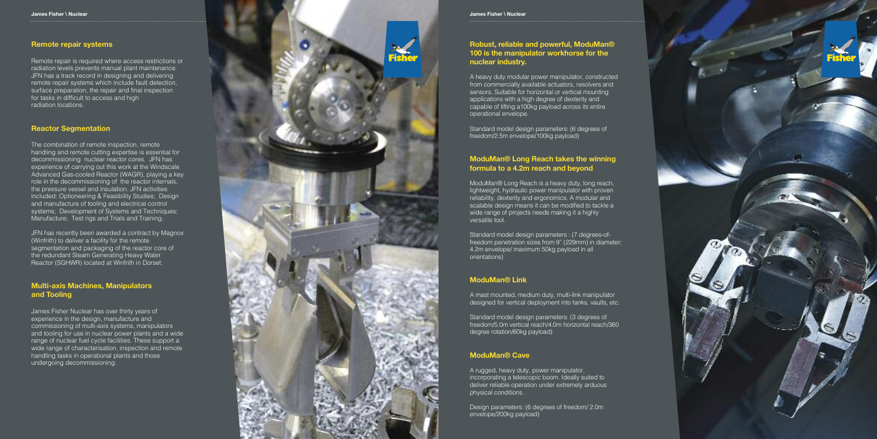#### **Remote repair systems**

Remote repair is required where access restrictions or radiation levels prevents manual plant maintenance. JFN has a track record in designing and delivering remote repair systems which include fault detection, surface preparation, the repair and final inspection for tasks in difficult to access and high radiation locations.

#### **Reactor Segmentation**

The combination of remote inspection, remote handling and remote cutting expertise is essential for decommissioning nuclear reactor cores. JFN has experience of carrying out this work at the Windscale Advanced Gas-cooled Reactor (WAGR), playing a key role in the decommissioning of the reactor internals, the pressure vessel and insulation. JFN activities included: Optioneering & Feasibility Studies; Design and manufacture of tooling and electrical control systems; Development of Systems and Techniques; Manufacture; Test rigs and Trials and Training.

JFN has recently been awarded a contract by Magnox (Winfrith) to deliver a facility for the remote segmentation and packaging of the reactor core of the redundant Steam Generating Heavy Water Reactor (SGHWR) located at Winfrith in Dorset.

#### **Multi-axis Machines, Manipulators** and Tooling

James Fisher Nuclear has over thirty years of experience in the design, manufacture and commissioning of multi-axis systems, manipulators and tooling for use in nuclear power plants and a wide range of nuclear fuel cycle facilities. These support a wide range of characterisation, inspection and remote handling tasks in operational plants and those undergoing decommissioning.

![](_page_3_Picture_8.jpeg)

#### Robust, reliable and powerful, ModuMan® 100 is the manipulator workhorse for the **n u c l e a r i n d u s t ry.**

A heavy duty modular power manipulator, constructed from commercially available actuators, resolvers and sensors. Suitable for horizontal or vertical mounting applications with a high degree of dexterity and capable of lifting a100kg payload across its entire operational envelope.

Standard model design parameters: (6 degrees of freedom/2.5m envelope/100kg payload)

### ModuMan® Long Reach takes the winning formula to a 4.2m reach and beyond

ModuMan® Long Reach is a heavy duty, long reach, lightweight, hydraulic power manipulator with proven reliability, dexterity and ergonomics. A modular and scalable design means it can be modified to tackle a wide range of projects needs making it a highly versatile tool.

Standard model design parameters : (7 degrees-offreedom penetration sizes from 9" (229mm) in diameter; 4.2m envelope/ maximum 50kg payload in all orientations)

#### **ModuMan® Link**

A mast mounted, medium duty, multi-link manipulator designed for vertical deployment into tanks, vaults, etc.

Standard model design parameters: (3 degrees of freedom/5.0m vertical reach/4.0m horizontal reach/360 degree rotation/60kg payload)

#### **ModuMan® Cave**

A rugged, heavy duty, power manipulator, incorporating a telescopic boom. Ideally suited to deliver reliable operation under extremely arduous physical conditions.

Design parameters: (6 degrees of freedom/ 2.0m envelope/200kg payload)

![](_page_3_Picture_22.jpeg)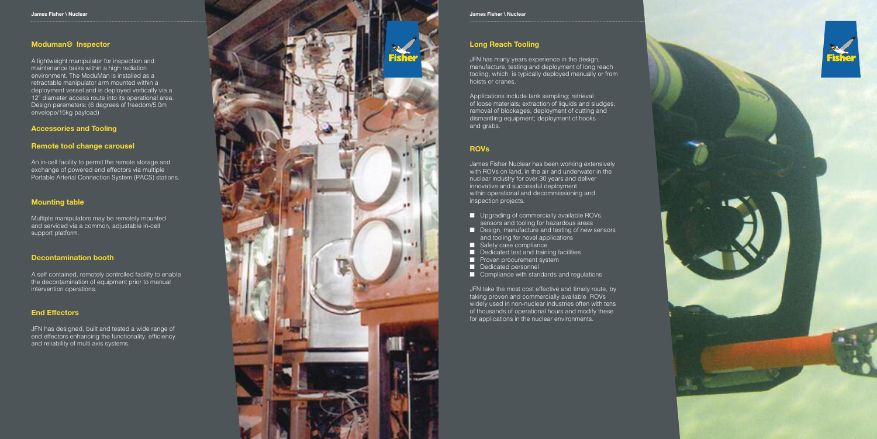### **Moduman® Inspector**

A lightweight manipulator for inspection and maintenance tasks within a high radiation environment. The ModuMan is installed as a retractable manipulator arm mounted within a deployment vessel and is deployed vertically via a 12" diameter access route into its operational area. Design parameters: (6 degrees of freedom/5.0m envelope/15kg payload)

#### **Accessories and Tooling**

#### Remote tool change carousel

An in-cell facility to permit the remote storage and exchange of powered end effectors via multiple Portable Arterial Connection System (PACS) stations.

#### **Mounting table**

Multiple manipulators may be remotely mounted and serviced via a common, adjustable in-cell support platform.

#### **Decontamination booth**

A self contained, remotely controlled facility to enable the decontamination of equipment prior to manual intervention operations.

#### **End Effectors**

JFN has designed, built and tested a wide range of end effectors enhancing the functionality, efficiency and reliability of multi axis systems.

![](_page_4_Picture_12.jpeg)

#### **James Fisher \ Nuclear**

### **Long Reach Tooling**

JFN has many years experience in the design, manufacture, testing and deployment of long reach tooling, which is typically deployed manually or from hoists or cranes.

Applications include tank sampling; retrieval of loose materials; extraction of liquids and sludges; removal of blockages; deployment of cutting and dismantling equipment; deployment of hooks a n d g r a b s .

### **R O V s**

James Fisher Nuclear has been working extensively with ROVs on land, in the air and underwater in the nuclear industry for over 30 years and deliver innovative and successful deployment within operational and decommissioning and inspection projects.

- **U** Upgrading of commercially available ROVs, sensors and tooling for hazardous areas
- **n** Design, manufacture and testing of new sensors and tooling for novel applications
- **E** Safety case compliance
- **n** Dedicated test and training facilities
- **n** Proven procurement system
- **n** Dedicated personnel
- **E** Compliance with standards and regulations

JFN take the most cost effective and timely route, by taking proven and commercially available ROVs widely used in non-nuclear industries often with tens of thousands of operational hours and modify these for applications in the nuclear environments.

![](_page_4_Picture_27.jpeg)